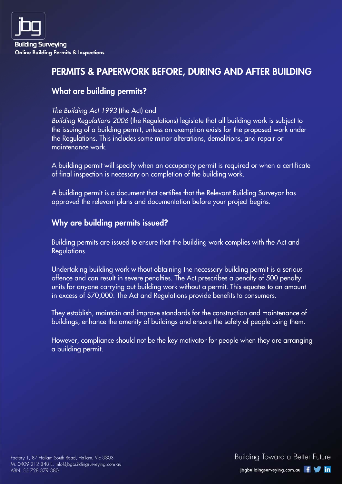# PERMITS & PAPERWORK BEFORE, DURING AND AFTER BUILDING

## What are building permits?

#### The Building Act 1993 (the Act) and

Building Regulations 2006 (the Regulations) legislate that all building work is subject to the issuing of a building permit, unless an exemption exists for the proposed work under the Regulations. This includes some minor alterations, demolitions, and repair or maintenance work.

A building permit will specify when an occupancy permit is required or when a certificate of final inspection is necessary on completion of the building work.

A building permit is a document that certifies that the Relevant Building Surveyor has approved the relevant plans and documentation before your project begins.

## Why are building permits issued?

Building permits are issued to ensure that the building work complies with the Act and Regulations.

Undertaking building work without obtaining the necessary building permit is a serious offence and can result in severe penalties. The Act prescribes a penalty of 500 penalty units for anyone carrying out building work without a permit. This equates to an amount in excess of \$70,000. The Act and Regulations provide benefits to consumers.

They establish, maintain and improve standards for the construction and maintenance of buildings, enhance the amenity of buildings and ensure the safety of people using them.

However, compliance should not be the key motivator for people when they are arranging a building permit.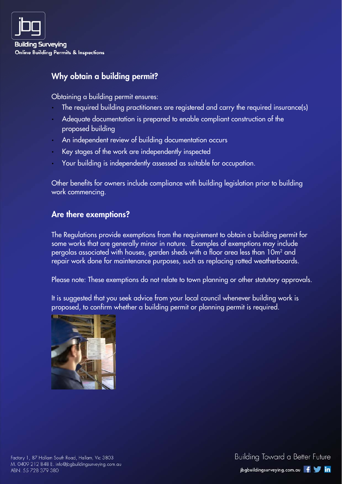

## Why obtain a building permit?

Obtaining a building permit ensures:

- The required building practitioners are registered and carry the required insurance(s)
- Adequate documentation is prepared to enable compliant construction of the proposed building
- An independent review of building documentation occurs
- Key stages of the work are independently inspected
- Your building is independently assessed as suitable for occupation.

Other benefits for owners include compliance with building legislation prior to building work commencing.

#### Are there exemptions?

The Regulations provide exemptions from the requirement to obtain a building permit for some works that are generally minor in nature. Examples of exemptions may include pergolas associated with houses, garden sheds with a floor area less than  $10\mathsf{m}^2$  and repair work done for maintenance purposes, such as replacing rotted weatherboards.

Please note: These exemptions do not relate to town planning or other statutory approvals.

It is suggested that you seek advice from your local council whenever building work is proposed, to confirm whether a building permit or planning permit is required.

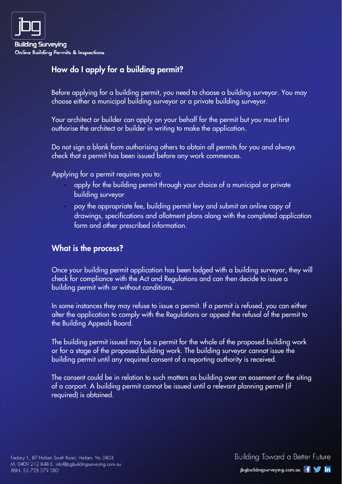

# How do I apply for a building permit?

Before applying for a building permit, you need to choose a building surveyor. You may choose either a municipal building surveyor or a private building surveyor.

Your architect or builder can apply on your behalf for the permit but you must first authorise the architect or builder in writing to make the application.

Do not sign a blank form authorising others to obtain all permits for you and always check that a permit has been issued before any work commences.

Applying for a permit requires you to:

- apply for the building permit through your choice of a municipal or private building surveyor
- pay the appropriate fee, building permit levy and submit an online copy of drawings, specifications and allotment plans along with the completed application form and other prescribed information.

## What is the process?

Once your building permit application has been lodged with a building surveyor, they will check for compliance with the Act and Regulations and can then decide to issue a building permit with or without conditions.

In some instances they may refuse to issue a permit. If a permit is refused, you can either alter the application to comply with the Regulations or appeal the refusal of the permit to the Building Appeals Board.

The building permit issued may be a permit for the whole of the proposed building work or for a stage of the proposed building work. The building surveyor cannot issue the building permit until any required consent of a reporting authority is received.

The consent could be in relation to such matters as building over an easement or the siting of a carport. A building permit cannot be issued until a relevant planning permit (if required) is obtained.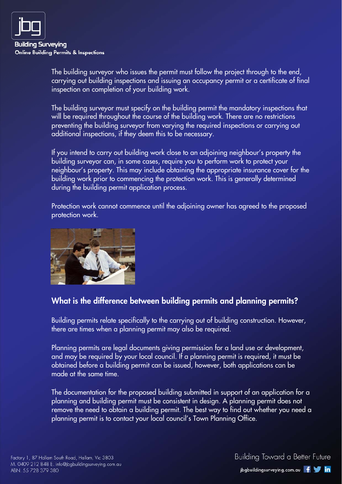

The building surveyor who issues the permit must follow the project through to the end, carrying out building inspections and issuing an occupancy permit or a certificate of final inspection on completion of your building work.

The building surveyor must specify on the building permit the mandatory inspections that will be required throughout the course of the building work. There are no restrictions preventing the building surveyor from varying the required inspections or carrying out additional inspections, if they deem this to be necessary.

If you intend to carry out building work close to an adjoining neighbour's property the building surveyor can, in some cases, require you to perform work to protect your neighbour's property. This may include obtaining the appropriate insurance cover for the building work prior to commencing the protection work. This is generally determined during the building permit application process.

Protection work cannot commence until the adjoining owner has agreed to the proposed protection work.



## What is the difference between building permits and planning permits?

Building permits relate specifically to the carrying out of building construction. However, there are times when a planning permit may also be required.

Planning permits are legal documents giving permission for a land use or development, and may be required by your local council. If a planning permit is required, it must be obtained before a building permit can be issued, however, both applications can be made at the same time.

The documentation for the proposed building submitted in support of an application for a planning and building permit must be consistent in design. A planning permit does not remove the need to obtain a building permit. The best way to find out whether you need a planning permit is to contact your local council's Town Planning Office.

Building Toward a Better Future jbgbuildingsurveying.com.au f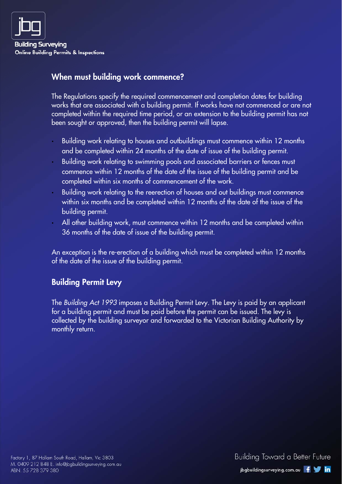

#### When must building work commence?

The Regulations specify the required commencement and completion dates for building works that are associated with a building permit. If works have not commenced or are not completed within the required time period, or an extension to the building permit has not been sought or approved, then the building permit will lapse.

- Building work relating to houses and outbuildings must commence within 12 months and be completed within 24 months of the date of issue of the building permit.
- Building work relating to swimming pools and associated barriers or fences must commence within 12 months of the date of the issue of the building permit and be completed within six months of commencement of the work.
- Building work relating to the reerection of houses and out buildings must commence within six months and be completed within 12 months of the date of the issue of the building permit.
- All other building work, must commence within 12 months and be completed within 36 months of the date of issue of the building permit.

An exception is the re-erection of a building which must be completed within 12 months of the date of the issue of the building permit.

#### Building Permit Levy

The Building Act 1993 imposes a Building Permit Levy. The Levy is paid by an applicant for a building permit and must be paid before the permit can be issued. The levy is collected by the building surveyor and forwarded to the Victorian Building Authority by monthly return.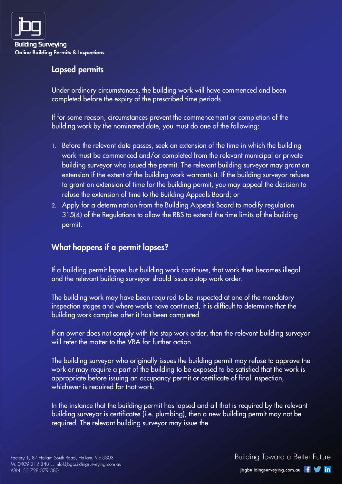

#### Lapsed permits

Under ordinary circumstances, the building work will have commenced and been completed before the expiry of the prescribed time periods.

If for some reason, circumstances prevent the commencement or completion of the building work by the nominated date, you must do one of the following:

- 1. Before the relevant date passes, seek an extension of the time in which the building work must be commenced and/or completed from the relevant municipal or private building surveyor who issued the permit. The relevant building surveyor may grant an extension if the extent of the building work warrants it. If the building surveyor refuses to grant an extension of time for the building permit, you may appeal the decision to refuse the extension of time to the Building Appeals Board; or
- 2. Apply for a determination from the Building Appeals Board to modify regulation 315(4) of the Regulations to allow the RBS to extend the time limits of the building permit.

## What happens if a permit lapses?

If a building permit lapses but building work continues, that work then becomes illegal and the relevant building surveyor should issue a stop work order.

The building work may have been required to be inspected at one of the mandatory inspection stages and where works have continued, it is difficult to determine that the building work complies after it has been completed.

If an owner does not comply with the stop work order, then the relevant building surveyor will refer the matter to the VBA for further action.

The building surveyor who originally issues the building permit may refuse to approve the work or may require a part of the building to be exposed to be satisfied that the work is appropriate before issuing an occupancy permit or certificate of final inspection, whichever is required for that work.

In the instance that the building permit has lapsed and all that is required by the relevant building surveyor is certificates (i.e. plumbing), then a new building permit may not be required. The relevant building surveyor may issue the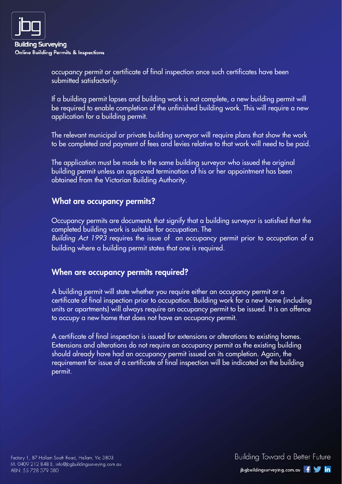

occupancy permit or certificate of final inspection once such certificates have been submitted satisfactorily.

If a building permit lapses and building work is not complete, a new building permit will be required to enable completion of the unfinished building work. This will require a new application for a building permit.

The relevant municipal or private building surveyor will require plans that show the work to be completed and payment of fees and levies relative to that work will need to be paid.

The application must be made to the same building surveyor who issued the original building permit unless an approved termination of his or her appointment has been obtained from the Victorian Building Authority.

#### What are occupancy permits?

Occupancy permits are documents that signify that a building surveyor is satisfied that the completed building work is suitable for occupation. The Building Act 1993 requires the issue of an occupancy permit prior to occupation of a building where a building permit states that one is required.

#### When are occupancy permits required?

A building permit will state whether you require either an occupancy permit or a certificate of final inspection prior to occupation. Building work for a new home (including units or apartments) will always require an occupancy permit to be issued. It is an offence to occupy a new home that does not have an occupancy permit.

A certificate of final inspection is issued for extensions or alterations to existing homes. Extensions and alterations do not require an occupancy permit as the existing building should already have had an occupancy permit issued on its completion. Again, the requirement for issue of a certificate of final inspection will be indicated on the building permit.

Building Toward a Better Future jbgbuildingsurveying.com.au f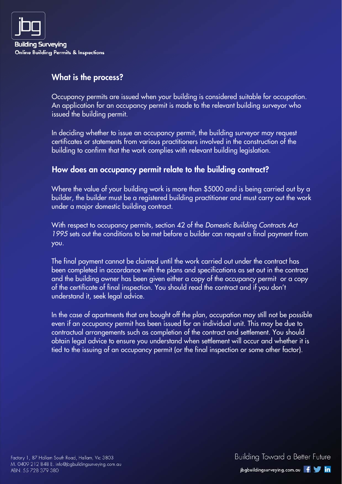

#### What is the process?

Occupancy permits are issued when your building is considered suitable for occupation. An application for an occupancy permit is made to the relevant building surveyor who issued the building permit.

In deciding whether to issue an occupancy permit, the building surveyor may request certificates or statements from various practitioners involved in the construction of the building to confirm that the work complies with relevant building legislation.

#### How does an occupancy permit relate to the building contract?

Where the value of your building work is more than \$5000 and is being carried out by a builder, the builder must be a registered building practitioner and must carry out the work under a major domestic building contract.

With respect to occupancy permits, section 42 of the Domestic Building Contracts Act 1995 sets out the conditions to be met before a builder can request a final payment from you.

The final payment cannot be claimed until the work carried out under the contract has been completed in accordance with the plans and specifications as set out in the contract and the building owner has been given either a copy of the occupancy permit or a copy of the certificate of final inspection. You should read the contract and if you don't understand it, seek legal advice.

In the case of apartments that are bought off the plan, occupation may still not be possible even if an occupancy permit has been issued for an individual unit. This may be due to contractual arrangements such as completion of the contract and settlement. You should obtain legal advice to ensure you understand when settlement will occur and whether it is tied to the issuing of an occupancy permit (or the final inspection or some other factor).